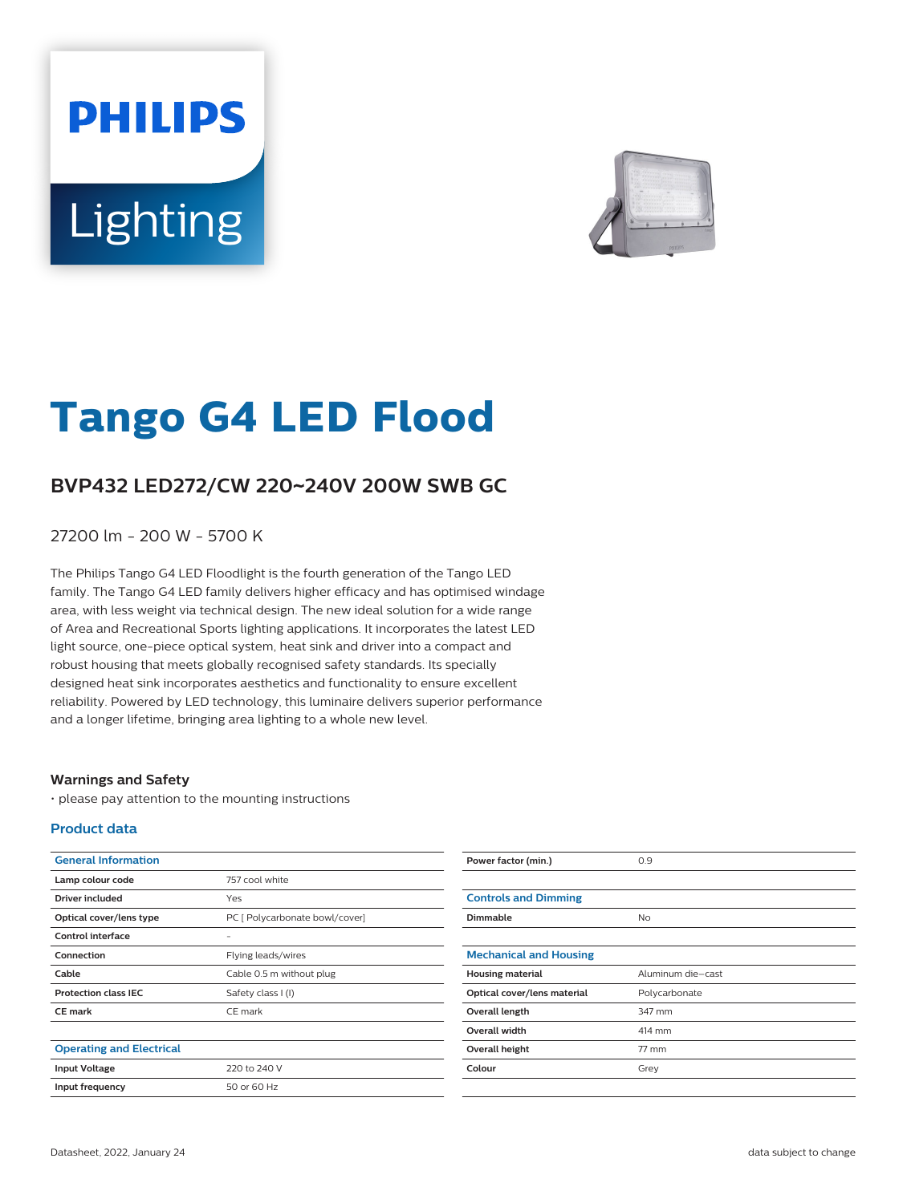# **PHILIPS** Lighting



# **Tango G4 LED Flood**

## **BVP432 LED272/CW 220**~**240V 200W SWB GC**

27200 lm - 200 W - 5700 K

The Philips Tango G4 LED Floodlight is the fourth generation of the Tango LED family. The Tango G4 LED family delivers higher efficacy and has optimised windage area, with less weight via technical design. The new ideal solution for a wide range of Area and Recreational Sports lighting applications. It incorporates the latest LED light source, one-piece optical system, heat sink and driver into a compact and robust housing that meets globally recognised safety standards. Its specially designed heat sink incorporates aesthetics and functionality to ensure excellent reliability. Powered by LED technology, this luminaire delivers superior performance and a longer lifetime, bringing area lighting to a whole new level.

#### **Warnings and Safety**

• please pay attention to the mounting instructions

#### **Product data**

| <b>General Information</b>      |                                | Power factor (min.)           | 0.9               |
|---------------------------------|--------------------------------|-------------------------------|-------------------|
| Lamp colour code                | 757 cool white                 |                               |                   |
| <b>Driver included</b>          | Yes                            | <b>Controls and Dimming</b>   |                   |
| Optical cover/lens type         | PC [ Polycarbonate bowl/cover] | Dimmable                      | <b>No</b>         |
| Control interface               | $\overline{\phantom{0}}$       |                               |                   |
| Connection                      | Flying leads/wires             | <b>Mechanical and Housing</b> |                   |
| Cable                           | Cable 0.5 m without plug       | <b>Housing material</b>       | Aluminum die-cast |
| <b>Protection class IEC</b>     | Safety class I (I)             | Optical cover/lens material   | Polycarbonate     |
| <b>CE mark</b>                  | CE mark                        | Overall length                | 347 mm            |
|                                 |                                | Overall width                 | 414 mm            |
| <b>Operating and Electrical</b> |                                | Overall height                | 77 mm             |
| <b>Input Voltage</b>            | 220 to 240 V                   | Colour                        | Grey              |
| Input frequency                 | 50 or 60 Hz                    |                               |                   |
|                                 |                                |                               |                   |